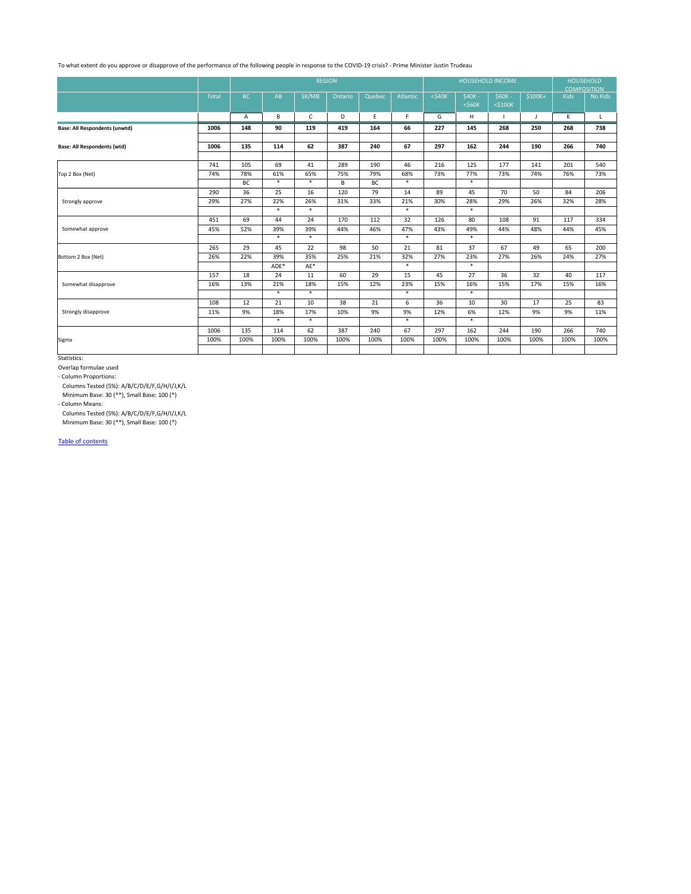|                                      |       | <b>REGION</b> |        |              |         |        |                 |              | <b>HOUSEHOLD INCOME</b>  | <b>HOUSEHOLD</b><br><b>COMPOSITION</b> |              |             |         |
|--------------------------------------|-------|---------------|--------|--------------|---------|--------|-----------------|--------------|--------------------------|----------------------------------------|--------------|-------------|---------|
|                                      | Total | <b>BC</b>     | AB     | SK/MB        | Ontario | Quebec | <b>Atlantic</b> | $<$ \$40 $K$ | $$40K -$<br>$<$ \$60 $K$ | $$60K -$<br>$<$ \$100 $K$              | $$100K+$     | <b>Kids</b> | No Kids |
|                                      |       | A             | B      | $\mathsf{C}$ | D       | E      | F.              | G            | H                        |                                        | $\mathsf{J}$ | K           | L       |
| <b>Base: All Respondents (unwtd)</b> | 1006  | 148           | 90     | 119          | 419     | 164    | 66              | 227          | 145                      | 268                                    | 250          | 268         | 738     |
| <b>Base: All Respondents (wtd)</b>   | 1006  | 135           | 114    | 62           | 387     | 240    | 67              | 297          | 162                      | 244                                    | 190          | 266         | 740     |
|                                      | 741   | 105           | 69     | 41           | 289     | 190    | 46              | 216          | 125                      | 177                                    | 141          | 201         | 540     |
| Top 2 Box (Net)                      | 74%   | 78%           | 61%    | 65%          | 75%     | 79%    | 68%             | 73%          | 77%                      | 73%                                    | 74%          | 76%         | 73%     |
|                                      |       | BC            | $\ast$ | $\ast$       | $\sf B$ | BC     | $\ast$          |              | $\ast$                   |                                        |              |             |         |
| Strongly approve                     | 290   | 36            | 25     | 16           | 120     | 79     | 14              | 89           | 45                       | 70                                     | 50           | 84          | 206     |
|                                      | 29%   | 27%           | 22%    | 26%          | 31%     | 33%    | 21%             | 30%          | 28%                      | 29%                                    | 26%          | 32%         | 28%     |
|                                      |       |               | $\ast$ | $\ast$       |         |        | $\ast$          |              | $\ast$                   |                                        |              |             |         |
|                                      | 451   | 69            | 44     | 24           | 170     | 112    | 32              | 126          | 80                       | 108                                    | 91           | 117         | 334     |
| Somewhat approve                     | 45%   | 52%           | 39%    | 39%          | 44%     | 46%    | 47%             | 43%          | 49%                      | 44%                                    | 48%          | 44%         | 45%     |
|                                      |       |               | $\ast$ | $\ast$       |         |        | $\ast$          |              | $\ast$                   |                                        |              |             |         |
|                                      | 265   | 29            | 45     | 22           | 98      | 50     | 21              | 81           | 37                       | 67                                     | 49           | 65          | 200     |
| Bottom 2 Box (Net)                   | 26%   | 22%           | 39%    | 35%          | 25%     | 21%    | 32%             | 27%          | 23%                      | 27%                                    | 26%          | 24%         | 27%     |
|                                      |       |               | ADE*   | AE*          |         |        | $\ast$          |              | $\ast$                   |                                        |              |             |         |
|                                      | 157   | 18            | 24     | 11           | 60      | 29     | 15              | 45           | 27                       | 36                                     | 32           | 40          | 117     |
| Somewhat disapprove                  | 16%   | 13%           | 21%    | 18%          | 15%     | 12%    | 23%             | 15%          | 16%                      | 15%                                    | 17%          | 15%         | 16%     |
|                                      |       |               | $\ast$ | $\ast$       |         |        | $\ast$          |              | $\ast$                   |                                        |              |             |         |
|                                      | 108   | 12            | 21     | 10           | 38      | 21     | 6               | 36           | 10                       | 30                                     | 17           | 25          | 83      |
| Strongly disapprove                  | 11%   | 9%            | 18%    | 17%          | 10%     | 9%     | 9%              | 12%          | 6%                       | 12%                                    | 9%           | 9%          | 11%     |
|                                      |       |               | $\ast$ | $\ast$       |         |        | $\ast$          |              | $\ast$                   |                                        |              |             |         |
|                                      | 1006  | 135           | 114    | 62           | 387     | 240    | 67              | 297          | 162                      | 244                                    | 190          | 266         | 740     |
| Sigma                                | 100%  | 100%          | 100%   | 100%         | 100%    | 100%   | 100%            | 100%         | 100%                     | 100%                                   | 100%         | 100%        | 100%    |
|                                      |       |               |        |              |         |        |                 |              |                          |                                        |              |             |         |

Table of contents

Minimum Base: 30 (\*\*), Small Base: 100 (\*)

- Column Means:

Columns Tested (5%): A/B/C/D/E/F,G/H/I/J,K/L

Minimum Base: 30 (\*\*), Small Base: 100 (\*)

Statistics:

Overlap formulae used

- Column Proportions:

Columns Tested (5%): A/B/C/D/E/F,G/H/I/J,K/L

To what extent do you approve or disapprove of the performance of the following people in response to the COVID-19 crisis? - Prime Minister Justin Trudeau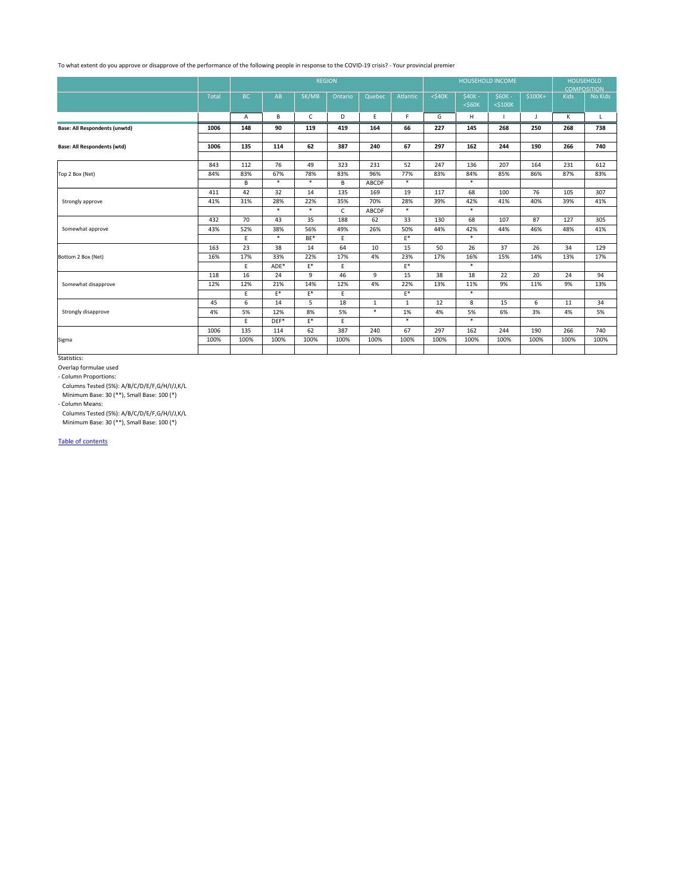|                                      |              | <b>REGION</b> |        |              |             |              |                |              | <b>HOUSEHOLD INCOME</b>  | <b>HOUSEHOLD</b><br><b>COMPOSITION</b> |              |             |              |
|--------------------------------------|--------------|---------------|--------|--------------|-------------|--------------|----------------|--------------|--------------------------|----------------------------------------|--------------|-------------|--------------|
|                                      | <b>Total</b> | <b>BC</b>     | AB     | SK/MB        | Ontario     | Quebec       | Atlantic       | $<$ \$40 $K$ | $$40K -$<br>$<$ \$60 $K$ | $$60K -$<br>$<$ \$100 $K$              | $$100K+$     | <b>Kids</b> | No Kids      |
|                                      |              | A             | B      | $\mathsf{C}$ | D           | $\mathsf E$  | F.             | G            | H                        |                                        | $\mathbf{I}$ | K           | $\mathsf{L}$ |
| <b>Base: All Respondents (unwtd)</b> | 1006         | 148           | 90     | 119          | 419         | 164          | 66             | 227          | 145                      | 268                                    | 250          | 268         | 738          |
| <b>Base: All Respondents (wtd)</b>   | 1006         | 135           | 114    | 62           | 387         | 240          | 67             | 297          | 162                      | 244                                    | 190          | 266         | 740          |
|                                      |              |               |        |              |             |              |                |              |                          |                                        |              |             |              |
|                                      | 843          | 112           | 76     | 49           | 323         | 231          | 52             | 247          | 136                      | 207                                    | 164          | 231         | 612          |
| Top 2 Box (Net)                      | 84%          | 83%           | 67%    | 78%          | 83%         | 96%          | 77%            | 83%          | 84%                      | 85%                                    | 86%          | 87%         | 83%          |
|                                      |              | $\mathsf B$   | $\ast$ | $\ast$       | $\mathsf B$ | <b>ABCDF</b> | $\ast$         |              | $\ast$                   |                                        |              |             |              |
|                                      | 411          | 42            | 32     | 14           | 135         | 169          | 19             | 117          | 68                       | 100                                    | 76           | 105         | 307          |
| Strongly approve                     | 41%          | 31%           | 28%    | 22%          | 35%         | 70%          | 28%            | 39%          | 42%                      | 41%                                    | 40%          | 39%         | 41%          |
|                                      |              |               | $\ast$ | $\ast$       | $\mathsf C$ | ABCDF        | $\ast$         |              | $\ast$                   |                                        |              |             |              |
|                                      | 432          | 70            | 43     | 35           | 188         | 62           | 33             | 130          | 68                       | 107                                    | 87           | 127         | 305          |
| Somewhat approve                     | 43%          | 52%           | 38%    | 56%          | 49%         | 26%          | 50%            | 44%          | 42%                      | 44%                                    | 46%          | 48%         | 41%          |
|                                      |              | E             | $\ast$ | $BE*$        | E           |              | $\mathsf{E}^*$ |              | $\ast$                   |                                        |              |             |              |
|                                      | 163          | 23            | 38     | 14           | 64          | 10           | 15             | 50           | 26                       | 37                                     | 26           | 34          | 129          |
| Bottom 2 Box (Net)                   | 16%          | 17%           | 33%    | 22%          | 17%         | 4%           | 23%            | 17%          | 16%                      | 15%                                    | 14%          | 13%         | 17%          |
|                                      |              | E             | ADE*   | E*           | E           |              | $E^*$          |              | $\ast$                   |                                        |              |             |              |
|                                      | 118          | 16            | 24     | 9            | 46          | 9            | 15             | 38           | 18                       | 22                                     | 20           | 24          | 94           |
| Somewhat disapprove                  | 12%          | 12%           | 21%    | 14%          | 12%         | 4%           | 22%            | 13%          | 11%                      | 9%                                     | 11%          | 9%          | 13%          |
|                                      |              | E             | $E^*$  | E*           | E.          |              | $E^*$          |              | $\ast$                   |                                        |              |             |              |
| Strongly disapprove                  | 45           | 6             | 14     | 5            | 18          | $\mathbf{1}$ | $\mathbf{1}$   | 12           | 8                        | 15                                     | 6            | 11          | 34           |
|                                      | 4%           | 5%            | 12%    | 8%           | 5%          | $\ast$       | 1%             | 4%           | 5%                       | 6%                                     | 3%           | 4%          | 5%           |
|                                      |              | E             | $DEF*$ | E*           | E           |              | $\ast$         |              | $\ast$                   |                                        |              |             |              |
|                                      | 1006         | 135           | 114    | 62           | 387         | 240          | 67             | 297          | 162                      | 244                                    | 190          | 266         | 740          |
| Sigma                                | 100%         | 100%          | 100%   | 100%         | 100%        | 100%         | 100%           | 100%         | 100%                     | 100%                                   | 100%         | 100%        | 100%         |
|                                      |              |               |        |              |             |              |                |              |                          |                                        |              |             |              |

Table of contents

Minimum Base: 30 (\*\*), Small Base: 100 (\*)

- Column Means:

Columns Tested (5%): A/B/C/D/E/F,G/H/I/J,K/L

Minimum Base: 30 (\*\*), Small Base: 100 (\*)

Statistics:

Overlap formulae used

- Column Proportions:

Columns Tested (5%): A/B/C/D/E/F,G/H/I/J,K/L

To what extent do you approve or disapprove of the performance of the following people in response to the COVID-19 crisis? - Your provincial premier